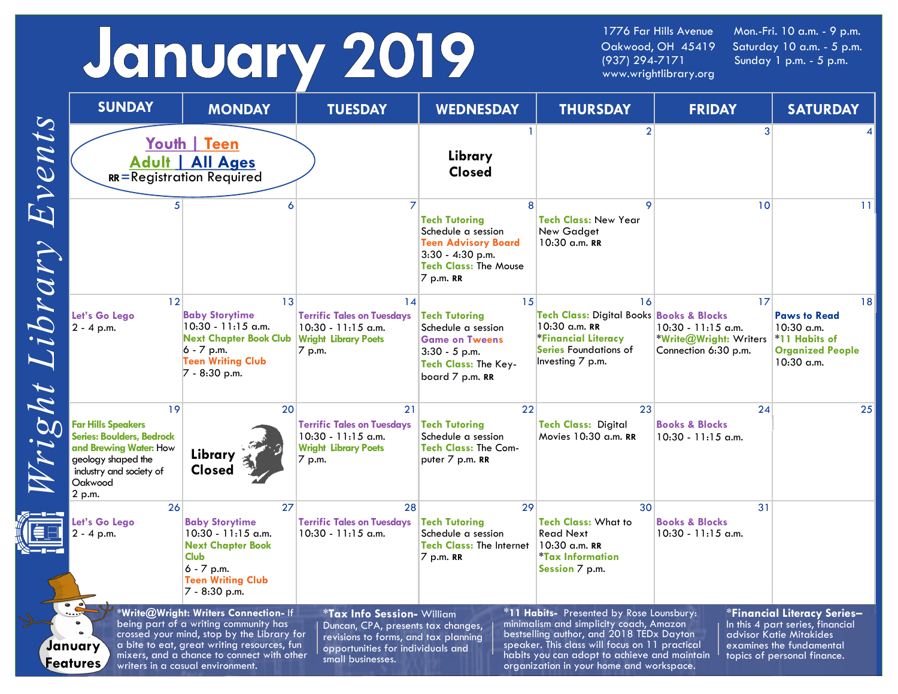# January 2019

Oakwood, OH 45419 Saturday 10 a.m. - 5 p.m.<br>(937) 294-7171 Sunday 1 p.m. - 5 p.m. www.wrightlibrary.org

1776 Far Hills Avenue Mon.-Fri. 10 a.m. - 9 p.m. Sunday 1 p.m. - 5 p.m.

|                                                                                                                                                                                                                                                                                                                                                                                                                                                                                                                                                                                                                                                                                                                                                                                                                                                                                                                                       | <b>SUNDAY</b>                                                                                                                                                       | <b>MONDAY</b>                                                                                                                                                 | <b>TUESDAY</b>                                                                                           | <b>WEDNESDAY</b>                                                                                                                                 | <b>THURSDAY</b>                                                                                                                                              | <b>FRIDAY</b>                                                                | <b>SATURDAY</b>                                                                                   |
|---------------------------------------------------------------------------------------------------------------------------------------------------------------------------------------------------------------------------------------------------------------------------------------------------------------------------------------------------------------------------------------------------------------------------------------------------------------------------------------------------------------------------------------------------------------------------------------------------------------------------------------------------------------------------------------------------------------------------------------------------------------------------------------------------------------------------------------------------------------------------------------------------------------------------------------|---------------------------------------------------------------------------------------------------------------------------------------------------------------------|---------------------------------------------------------------------------------------------------------------------------------------------------------------|----------------------------------------------------------------------------------------------------------|--------------------------------------------------------------------------------------------------------------------------------------------------|--------------------------------------------------------------------------------------------------------------------------------------------------------------|------------------------------------------------------------------------------|---------------------------------------------------------------------------------------------------|
| Events                                                                                                                                                                                                                                                                                                                                                                                                                                                                                                                                                                                                                                                                                                                                                                                                                                                                                                                                |                                                                                                                                                                     | Youth Teen<br>Adult   All Ages<br>RR=Registration Required                                                                                                    |                                                                                                          | Library<br><b>Closed</b>                                                                                                                         | 2                                                                                                                                                            | 3                                                                            |                                                                                                   |
|                                                                                                                                                                                                                                                                                                                                                                                                                                                                                                                                                                                                                                                                                                                                                                                                                                                                                                                                       |                                                                                                                                                                     |                                                                                                                                                               |                                                                                                          | 8<br><b>Tech Tutoring</b><br>Schedule a session<br><b>Teen Advisory Board</b><br>$3:30 - 4:30$ p.m.<br><b>Tech Class: The Mouse</b><br>7 p.m. RR | 9<br><b>Tech Class: New Year</b><br>New Gadget<br>10:30 a.m. RR                                                                                              | 10                                                                           | 11 <sup>1</sup>                                                                                   |
| Library                                                                                                                                                                                                                                                                                                                                                                                                                                                                                                                                                                                                                                                                                                                                                                                                                                                                                                                               | 12 <br>Let's Go Lego<br>$2 - 4$ p.m.                                                                                                                                | 13<br><b>Baby Storytime</b><br>10:30 - 11:15 a.m.<br>Next Chapter Book Club Wright Library Poets<br>$6 - 7$ p.m.<br><b>Teen Writing Club</b><br>7 - 8:30 p.m. | 14<br><b>Terrific Tales on Tuesdays</b><br>$10:30 - 11:15$ a.m.<br>7 p.m.                                | 15<br><b>Tech Tutoring</b><br>Schedule a session<br><b>Game on Tweens</b><br>$3:30 - 5$ p.m.<br><b>Tech Class: The Key-</b><br>board 7 p.m. RR   | 16<br><b>Tech Class: Digital Books Books &amp; Blocks</b><br>10:30 a.m. RR<br><b>*Financial Literacy</b><br><b>Series Foundations of</b><br>Investing 7 p.m. | 17<br>$10:30 - 11:15$ a.m.<br>*Write@Wright: Writers<br>Connection 6:30 p.m. | 18<br><b>Paws to Read</b><br>10:30 a.m.<br>*11 Habits of<br><b>Organized People</b><br>10:30 a.m. |
| Tright                                                                                                                                                                                                                                                                                                                                                                                                                                                                                                                                                                                                                                                                                                                                                                                                                                                                                                                                | 19<br><b>Far Hills Speakers</b><br><b>Series: Boulders, Bedrock</b><br>and Brewing Water: How<br>geology shaped the<br>industry and society of<br>Oakwood<br>2 p.m. | 20<br>Library<br><b>Closed</b>                                                                                                                                | 21<br><b>Terrific Tales on Tuesdays</b><br>$10:30 - 11:15$ a.m.<br><b>Wright Library Poets</b><br>7 p.m. | 22<br><b>Tech Tutoring</b><br>Schedule a session<br><b>Tech Class: The Com-</b><br>puter 7 p.m. RR                                               | 23<br><b>Tech Class: Digital</b><br>Movies 10:30 a.m. RR                                                                                                     | 24<br><b>Books &amp; Blocks</b><br>$10:30 - 11:15$ a.m.                      | 25                                                                                                |
|                                                                                                                                                                                                                                                                                                                                                                                                                                                                                                                                                                                                                                                                                                                                                                                                                                                                                                                                       | 26<br>Let's Go Lego<br>2 - 4 p.m.                                                                                                                                   | 27<br><b>Baby Storytime</b><br>$10:30 - 11:15$ a.m.<br><b>Next Chapter Book</b><br><b>Club</b><br>$6 - 7$ p.m.<br><b>Teen Writing Club</b><br>7 - 8:30 p.m.   | 28<br><b>Terrific Tales on Tuesdays</b><br>$10:30 - 11:15$ a.m.                                          | 29<br><b>Tech Tutoring</b><br>Schedule a session<br><b>Tech Class: The Internet</b><br>7 p.m. RR                                                 | 30<br><b>Tech Class: What to</b><br><b>Read Next</b><br>$10:30$ a.m. RR<br><i><b>*Tax Information</b></i><br>Session 7 p.m.                                  | 31<br><b>Books &amp; Blocks</b><br>$10:30 - 11:15$ a.m.                      |                                                                                                   |
| $\cdot$ $\cdot$<br>*Write@Wright: Writers Connection- If<br>*11 Habits- Presented by Rose Lounsbury:<br><b>*Financial Literacy Series-</b><br><b>*Tax Info Session- William</b><br>being part of a writing community has<br>minimalism and simplicity coach, Amazon<br>In this 4 part series, financial<br>Duncan, CPA, presents tax changes,<br>crossed your mind, stop by the Library for<br>bestselling author, and 2018 TEDx Dayton<br>advisor Katie Mitakides<br>revisions to forms, and tax planning<br>a bite to eat, great writing resources, fun<br>speaker. This class will focus on 11 practical<br>examines the fundamental<br>January<br>opportunities for individuals and<br>mixers, and a chance to connect with other<br>habits you can adopt to achieve and maintain<br>topics of personal finance.<br>small businesses.<br>Features<br>writers in a casual environment.<br>organization in your home and workspace. |                                                                                                                                                                     |                                                                                                                                                               |                                                                                                          |                                                                                                                                                  |                                                                                                                                                              |                                                                              |                                                                                                   |